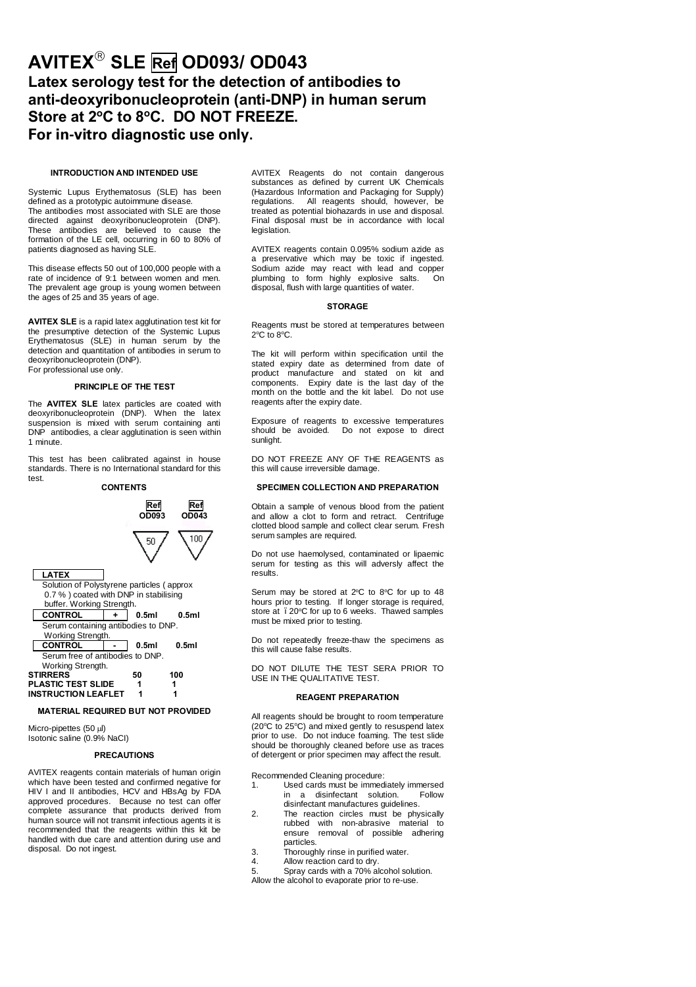# **AVITEX**' **SLE Ref OD093/ OD043 Latex serology test for the detection of antibodies to anti-deoxyribonucleoprotein (anti-DNP) in human serum** Store at 2°C to 8°C. DO NOT FREEZE. **For in-vitro diagnostic use only.**

#### **INTRODUCTION AND INTENDED USE**

Systemic Lupus Erythematosus (SLE) has been defined as a prototypic autoimmune disease. The antibodies most associated with SLE are those directed against deoxyribonucleoprotein (DNP). These antibodies are believed to cause the formation of the LE cell, occurring in 60 to 80% of patients diagnosed as having SLE.

This disease effects 50 out of 100,000 people with a rate of incidence of 9:1 between women and men. The prevalent age group is young women between the ages of 25 and 35 years of age.

**AVITEX SLE** is a rapid latex agglutination test kit for the presumptive detection of the Systemic Lupus Erythematosus (SLE) in human serum by the detection and quantitation of antibodies in serum to deoxyribonucleoprotein (DNP). For professional use only.

## **PRINCIPLE OF THE TEST**

The **AVITEX SLE** latex particles are coated with deoxyribonucleoprotein (DNP). When the latex suspension is mixed with serum containing anti DNP antibodies, a clear agglutination is seen within 1 minute.

This test has been calibrated against in house standards. There is no International standard for this test.



## **MATERIAL REQUIRED BUT NOT PROVIDED**

Micro-pipettes (50 ml) Isotonic saline (0.9% NaCI)

#### **PRECAUTIONS**

AVITEX reagents contain materials of human origin which have been tested and confirmed negative for HIV I and II antibodies, HCV and HBsAg by FDA approved procedures. Because no test can offer complete assurance that products derived from human source will not transmit infectious agents it is recommended that the reagents within this kit be handled with due care and attention during use and disposal. Do not ingest.

AVITEX Reagents do not contain dangerous substances as defined by current UK Chemicals (Hazardous Information and Packaging for Supply) regulations. All reagents should, however, be treated as potential biohazards in use and disposal. Final disposal must be in accordance with local legislation.

AVITEX reagents contain 0.095% sodium azide as a preservative which may be toxic if ingested. Sodium azide may react with lead and copper plumbing to form highly explosive salts. On disposal, flush with large quantities of water.

## **STORAGE**

Reagents must be stored at temperatures between  $2^{\circ}$ C to  $8^{\circ}$ C.

The kit will perform within specification until the stated expiry date as determined from date of product manufacture and stated on kit and components. Expiry date is the last day of the month on the bottle and the kit label. Do not use reagents after the expiry date.

Exposure of reagents to excessive temperatures should be avoided. Do not expose to direct sunlight.

DO NOT FREEZE ANY OF THE REAGENTS as this will cause irreversible damage.

## **SPECIMEN COLLECTION AND PREPARATION**

Obtain a sample of venous blood from the patient and allow a clot to form and retract. Centrifuge clotted blood sample and collect clear serum. Fresh serum samples are required.

Do not use haemolysed, contaminated or lipaemic serum for testing as this will adversly affect the results.

Serum may be stored at 2°C to 8°C for up to 48 hours prior to testing. If longer storage is required, store at . 20°C for up to 6 weeks. Thawed samples must be mixed prior to testing.

Do not repeatedly freeze-thaw the specimens as this will cause false results.

DO NOT DILUTE THE TEST SERA PRIOR TO USE IN THE QUALITATIVE TEST.

#### **REAGENT PREPARATION**

All reagents should be brought to room temperature (20°C to 25°C) and mixed gently to resuspend latex prior to use. Do not induce foaming. The test slide should be thoroughly cleaned before use as traces of detergent or prior specimen may affect the result.

Recommended Cleaning procedure:

- 1. Used cards must be immediately immersed<br>in a disinfectant solution. Follow in a disinfectant solution. disinfectant manufactures guidelines.
- 2. The reaction circles must be physically rubbed with non-abrasive material to ensure removal of possible adhering particles.
- 3. Thoroughly rinse in purified water.
- Allow reaction card to dry.
- 5. Spray cards with a 70% alcohol solution.
- Allow the alcohol to evaporate prior to re-use.